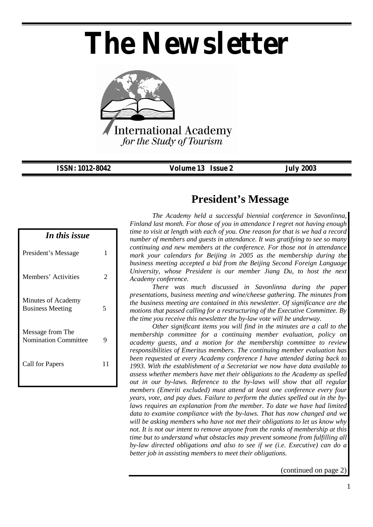# *The Newsletter*



*ISSN: 1012-8042 Volume 13 Issue 2 July 2003* 

| In this issue                                   |    |
|-------------------------------------------------|----|
| President's Message                             | 1  |
| Members' Activities                             | 2  |
| Minutes of Academy<br><b>Business Meeting</b>   | 5  |
| Message from The<br><b>Nomination Committee</b> | Q  |
| <b>Call for Papers</b>                          | 11 |

#### **President's Message**

*The Academy held a successful biennial conference in Savonlinna, Finland last month. For those of you in attendance I regret not having enough time to visit at length with each of you. One reason for that is we had a record number of members and guests in attendance. It was gratifying to see so many continuing and new members at the conference. For those not in attendance mark your calendars for Beijing in 2005 as the membership during the business meeting accepted a bid from the Beijing Second Foreign Language University, whose President is our member Jiang Du, to host the next Academy conference.* 

*There was much discussed in Savonlinna during the paper presentations, business meeting and wine/cheese gathering. The minutes from the business meeting are contained in this newsletter. Of significance are the motions that passed calling for a restructuring of the Executive Committee. By the time you receive this newsletter the by-law vote will be underway.* 

*Other significant items you will find in the minutes are a call to the membership committee for a continuing member evaluation, policy on academy guests, and a motion for the membership committee to review responsibilities of Emeritus members. The continuing member evaluation has been requested at every Academy conference I have attended dating back to 1993. With the establishment of a Secretariat we now have data available to assess whether members have met their obligations to the Academy as spelled out in our by-laws. Reference to the by-laws will show that all regular members (Emeriti excluded) must attend at least one conference every four years, vote, and pay dues. Failure to perform the duties spelled out in the bylaws requires an explanation from the member. To date we have had limited data to examine compliance with the by-laws. That has now changed and we will be asking members who have not met their obligations to let us know why not. It is not our intent to remove anyone from the ranks of membership at this time but to understand what obstacles may prevent someone from fulfilling all by-law directed obligations and also to see if we (i.e. Executive) can do a better job in assisting members to meet their obligations.* 

(continued on page 2)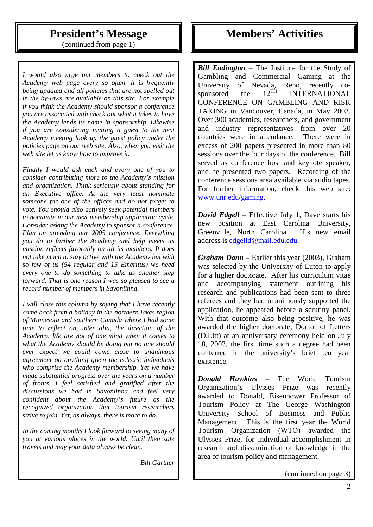## **President's Message**

(continued from page 1)

*I would also urge our members to check out the Academy web page every so often. It is frequently being updated and all policies that are not spelled out in the by-laws are available on this site. For example if you think the Academy should sponsor a conference you are associated with check out what it takes to have the Academy lends its name in sponsorship. Likewise if you are considering inviting a guest to the next Academy meeting look up the guest policy under the policies page on our web site. Also, when you visit the web site let us know how to improve it.* 

*Finally I would ask each and every one of you to consider contributing more to the Academy's mission and organization. Think seriously about standing for an Executive office. At the very least nominate someone for one of the offices and do not forget to vote. You should also actively seek potential members to nominate in our next membership application cycle. Consider asking the Academy to sponsor a conference. Plan on attending our 2005 conference. Everything you do to further the Academy and help meets its mission reflects favorably on all its members. It does not take much to stay active with the Academy but with so few of us (54 regular and 15 Emeritus) we need every one to do something to take us another step forward. That is one reason I was so pleased to see a record number of members in Savonlinna.* 

*I will close this column by saying that I have recently come back from a holiday in the northern lakes region of Minnesota and southern Canada where I had some time to reflect on, inter alia, the direction of the Academy. We are not of one mind when it comes to what the Academy should be doing but no one should ever expect we could come close to unanimous agreement on anything given the eclectic individuals who comprise the Academy membership. Yet we have made substantial progress over the years on a number of fronts. I feel satisfied and gratified after the discussions we had in Savonlinna and feel very confident about the Academy's future as the recognized organization that tourism researchers strive to join. Yet, as always, there is more to do.* 

*In the coming months I look forward to seeing many of you at various places in the world. Until then safe travels and may your data always be clean.* 

 *Bill Gartner* 

#### **Members' Activities**

*Bill Eadington* – The Institute for the Study of Gambling and Commercial Gaming at the University of Nevada, Reno, recently co-<br>sponsored the  $12^{TH}$  INTERNATIONAL sponsored the  $12^{TH}$  INTERNATIONAL CONFERENCE ON GAMBLING AND RISK TAKING in Vancouver, Canada, in May 2003. Over 300 academics, researchers, and government and industry representatives from over 20 countries were in attendance. There were in excess of 200 papers presented in more than 80 sessions over the four days of the conference. Bill served as conference host and keynote speaker, and he presented two papers. Recording of the conference sessions area available via audio tapes. For further information, check this web site: www.unr.edu/gaming.

*David Edgell* – Effective July 1, Dave starts his new position at East Carolina University, Greenville, North Carolina. His new email address is edgelld@mail.edu.edu.

*Graham Dann* – Earlier this year (2003), Graham was selected by the University of Luton to apply for a higher doctorate. After his curriculum vitae and accompanying statement outlining his research and publications had been sent to three referees and they had unanimously supported the application, he appeared before a scrutiny panel. With that outcome also being positive, he was awarded the higher doctorate, Doctor of Letters (D.Litt) at an anniversary ceremony held on July 18, 2003, the first time such a degree had been conferred in the university's brief ten year existence.

*Donald Hawkins* – The World Tourism Organization's Ulysses Prize was recently awarded to Donald, Eisenhower Professor of Tourism Policy at The George Washington University School of Business and Public Management. This is the first year the World Tourism Organization (WTO) awarded the Ulysses Prize, for individual accomplishment in research and dissemination of knowledge in the area of tourism policy and management.

(continued on page 3)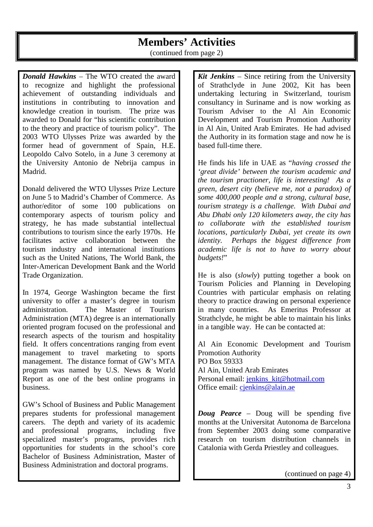#### **Members' Activities**

(continued from page 2)

*Donald Hawkins* – The WTO created the award to recognize and highlight the professional achievement of outstanding individuals and institutions in contributing to innovation and knowledge creation in tourism. The prize was awarded to Donald for "his scientific contribution to the theory and practice of tourism policy". The 2003 WTO Ulysses Prize was awarded by the former head of government of Spain, H.E. Leopoldo Calvo Sotelo, in a June 3 ceremony at the University Antonio de Nebrija campus in Madrid.

Donald delivered the WTO Ulysses Prize Lecture on June 5 to Madrid's Chamber of Commerce. As author/editor of some 100 publications on contemporary aspects of tourism policy and strategy, he has made substantial intellectual contributions to tourism since the early 1970s. He facilitates active collaboration between the tourism industry and international institutions such as the United Nations, The World Bank, the Inter-American Development Bank and the World Trade Organization.

In 1974, George Washington became the first university to offer a master's degree in tourism administration. The Master of Tourism Administration (MTA) degree is an internationally oriented program focused on the professional and research aspects of the tourism and hospitality field. It offers concentrations ranging from event management to travel marketing to sports management. The distance format of GW's MTA program was named by U.S. News & World Report as one of the best online programs in business.

GW's School of Business and Public Management prepares students for professional management careers. The depth and variety of its academic and professional programs, including five specialized master's programs, provides rich opportunities for students in the school's core Bachelor of Business Administration, Master of Business Administration and doctoral programs.

*Kit Jenkins* – Since retiring from the University of Strathclyde in June 2002, Kit has been undertaking lecturing in Switzerland, tourism consultancy in Suriname and is now working as Tourism Adviser to the Al Ain Economic Development and Tourism Promotion Authority in Al Ain, United Arab Emirates. He had advised the Authority in its formation stage and now he is based full-time there.

He finds his life in UAE as "*having crossed the 'great divide' between the tourism academic and the tourism practioner, life is interesting! As a green, desert city (believe me, not a paradox) of some 400,000 people and a strong, cultural base, tourism strategy is a challenge. With Dubai and Abu Dhabi only 120 kilometers away, the city has to collaborate with the established tourism locations, particularly Dubai, yet create its own identity. Perhaps the biggest difference from academic life is not to have to worry about budgets!*"

He is also (*slowly*) putting together a book on Tourism Policies and Planning in Developing Countries with particular emphasis on relating theory to practice drawing on personal experience in many countries. As Emeritus Professor at Strathclyde, he might be able to maintain his links in a tangible way. He can be contacted at:

Al Ain Economic Development and Tourism Promotion Authority PO Box 59333 Al Ain, United Arab Emirates Personal email: jenkins\_kit@hotmail.com Office email: cjenkins@alain.ae

*Doug Pearce* – Doug will be spending five months at the Universitat Autonoma de Barcelona from September 2003 doing some comparative research on tourism distribution channels in Catalonia with Gerda Priestley and colleagues.

(continued on page 4)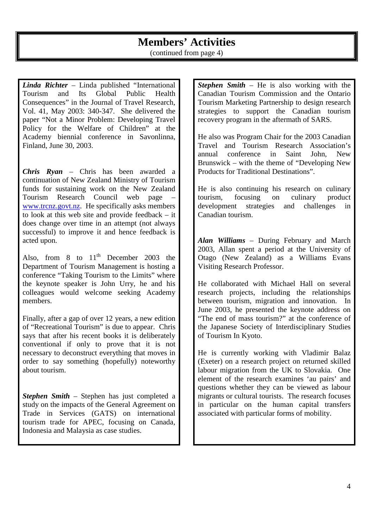## **Members' Activities**

(continued from page 4)

*Linda Richter* – Linda published "International Tourism and Its Global Public Health Consequences" in the Journal of Travel Research, Vol. 41, May 2003: 340-347. She delivered the paper "Not a Minor Problem: Developing Travel Policy for the Welfare of Children" at the Academy biennial conference in Savonlinna, Finland, June 30, 2003.

*Chris Ryan* – Chris has been awarded a continuation of New Zealand Ministry of Tourism funds for sustaining work on the New Zealand Tourism Research Council web page – www.trcnz.govt.nz. He specifically asks members to look at this web site and provide feedback – it does change over time in an attempt (not always successful) to improve it and hence feedback is acted upon.

Also, from  $8$  to  $11<sup>th</sup>$  December 2003 the Department of Tourism Management is hosting a conference "Taking Tourism to the Limits" where the keynote speaker is John Urry, he and his colleagues would welcome seeking Academy members.

Finally, after a gap of over 12 years, a new edition of "Recreational Tourism" is due to appear. Chris says that after his recent books it is deliberately conventional if only to prove that it is not necessary to deconstruct everything that moves in order to say something (hopefully) noteworthy about tourism.

*Stephen Smith* – Stephen has just completed a study on the impacts of the General Agreement on Trade in Services (GATS) on international tourism trade for APEC, focusing on Canada, Indonesia and Malaysia as case studies.

*Stephen Smith* – He is also working with the Canadian Tourism Commission and the Ontario Tourism Marketing Partnership to design research strategies to support the Canadian tourism recovery program in the aftermath of SARS.

He also was Program Chair for the 2003 Canadian Travel and Tourism Research Association's annual conference in Saint John, New Brunswick – with the theme of "Developing New Products for Traditional Destinations".

He is also continuing his research on culinary tourism, focusing on culinary product development strategies and challenges in Canadian tourism.

*Alan Williams* – During February and March 2003, Allan spent a period at the University of Otago (New Zealand) as a Williams Evans Visiting Research Professor.

He collaborated with Michael Hall on several research projects, including the relationships between tourism, migration and innovation. In June 2003, he presented the keynote address on "The end of mass tourism?" at the conference of the Japanese Society of Interdisciplinary Studies of Tourism In Kyoto.

He is currently working with Vladimir Balaz (Exeter) on a research project on returned skilled labour migration from the UK to Slovakia. One element of the research examines 'au pairs' and questions whether they can be viewed as labour migrants or cultural tourists. The research focuses in particular on the human capital transfers associated with particular forms of mobility.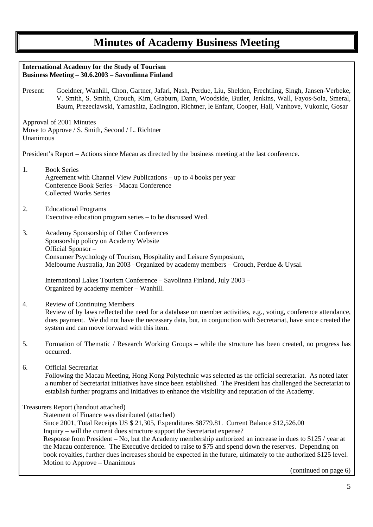| <b>International Academy for the Study of Tourism</b><br>Business Meeting - 30.6.2003 - Savonlinna Finland                                                                                                                                                                                                                                                                                                                                                                                                                                                                                                                                                                    |  |
|-------------------------------------------------------------------------------------------------------------------------------------------------------------------------------------------------------------------------------------------------------------------------------------------------------------------------------------------------------------------------------------------------------------------------------------------------------------------------------------------------------------------------------------------------------------------------------------------------------------------------------------------------------------------------------|--|
| Present:<br>Goeldner, Wanhill, Chon, Gartner, Jafari, Nash, Perdue, Liu, Sheldon, Frechtling, Singh, Jansen-Verbeke,<br>V. Smith, S. Smith, Crouch, Kim, Graburn, Dann, Woodside, Butler, Jenkins, Wall, Fayos-Sola, Smeral,<br>Baum, Prezeclawski, Yamashita, Eadington, Richtner, le Enfant, Cooper, Hall, Vanhove, Vukonic, Gosar                                                                                                                                                                                                                                                                                                                                          |  |
| Approval of 2001 Minutes<br>Move to Approve / S. Smith, Second / L. Richtner<br>Unanimous                                                                                                                                                                                                                                                                                                                                                                                                                                                                                                                                                                                     |  |
| President's Report – Actions since Macau as directed by the business meeting at the last conference.                                                                                                                                                                                                                                                                                                                                                                                                                                                                                                                                                                          |  |
| <b>Book Series</b><br>1.<br>Agreement with Channel View Publications – up to 4 books per year<br>Conference Book Series - Macau Conference<br><b>Collected Works Series</b>                                                                                                                                                                                                                                                                                                                                                                                                                                                                                                   |  |
| 2.<br><b>Educational Programs</b><br>Executive education program series - to be discussed Wed.                                                                                                                                                                                                                                                                                                                                                                                                                                                                                                                                                                                |  |
| 3.<br>Academy Sponsorship of Other Conferences<br>Sponsorship policy on Academy Website<br>Official Sponsor-<br>Consumer Psychology of Tourism, Hospitality and Leisure Symposium,<br>Melbourne Australia, Jan 2003 – Organized by academy members – Crouch, Perdue & Uysal.                                                                                                                                                                                                                                                                                                                                                                                                  |  |
| International Lakes Tourism Conference - Savolinna Finland, July 2003 -<br>Organized by academy member - Wanhill.                                                                                                                                                                                                                                                                                                                                                                                                                                                                                                                                                             |  |
| <b>Review of Continuing Members</b><br>4.<br>Review of by laws reflected the need for a database on member activities, e.g., voting, conference attendance,<br>dues payment. We did not have the necessary data, but, in conjunction with Secretariat, have since created the<br>system and can move forward with this item.                                                                                                                                                                                                                                                                                                                                                  |  |
| 5.<br>Formation of Thematic / Research Working Groups - while the structure has been created, no progress has<br>occurred.                                                                                                                                                                                                                                                                                                                                                                                                                                                                                                                                                    |  |
| <b>Official Secretariat</b><br>6.<br>Following the Macau Meeting, Hong Kong Polytechnic was selected as the official secretariat. As noted later<br>a number of Secretariat initiatives have since been established. The President has challenged the Secretariat to<br>establish further programs and initiatives to enhance the visibility and reputation of the Academy.                                                                                                                                                                                                                                                                                                   |  |
| Treasurers Report (handout attached)<br>Statement of Finance was distributed (attached)<br>Since 2001, Total Receipts US \$ 21,305, Expenditures \$8779.81. Current Balance \$12,526.00<br>Inquiry – will the current dues structure support the Secretariat expense?<br>Response from President – No, but the Academy membership authorized an increase in dues to \$125 / year at<br>the Macau conference. The Executive decided to raise to \$75 and spend down the reserves. Depending on<br>book royalties, further dues increases should be expected in the future, ultimately to the authorized \$125 level.<br>Motion to Approve - Unanimous<br>(continued on page 6) |  |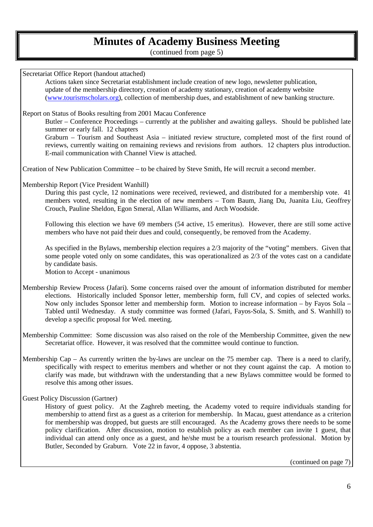(continued from page 5)

Secretariat Office Report (handout attached) Actions taken since Secretariat establishment include creation of new logo, newsletter publication, update of the membership directory, creation of academy stationary, creation of academy website (www.tourismscholars.org), collection of membership dues, and establishment of new banking structure. Report on Status of Books resulting from 2001 Macau Conference Butler – Conference Proceedings – currently at the publisher and awaiting galleys. Should be published late summer or early fall. 12 chapters Graburn – Tourism and Southeast Asia – initiated review structure, completed most of the first round of reviews, currently waiting on remaining reviews and revisions from authors. 12 chapters plus introduction. E-mail communication with Channel View is attached. Creation of New Publication Committee – to be chaired by Steve Smith, He will recruit a second member. Membership Report (Vice President Wanhill) During this past cycle, 12 nominations were received, reviewed, and distributed for a membership vote. 41 members voted, resulting in the election of new members – Tom Baum, Jiang Du, Juanita Liu, Geoffrey Crouch, Pauline Sheldon, Egon Smeral, Allan Williams, and Arch Woodside. Following this election we have 69 members (54 active, 15 emeritus). However, there are still some active members who have not paid their dues and could, consequently, be removed from the Academy. As specified in the Bylaws, membership election requires a 2/3 majority of the "voting" members. Given that some people voted only on some candidates, this was operationalized as 2/3 of the votes cast on a candidate by candidate basis. Motion to Accept - unanimous Membership Review Process (Jafari). Some concerns raised over the amount of information distributed for member elections. Historically included Sponsor letter, membership form, full CV, and copies of selected works. Now only includes Sponsor letter and membership form. Motion to increase information – by Fayos Sola – Tabled until Wednesday. A study committee was formed (Jafari, Fayos-Sola, S. Smith, and S. Wanhill) to develop a specific proposal for Wed. meeting. Membership Committee: Some discussion was also raised on the role of the Membership Committee, given the new Secretariat office. However, it was resolved that the committee would continue to function. Membership Cap – As currently written the by-laws are unclear on the 75 member cap. There is a need to clarify, specifically with respect to emeritus members and whether or not they count against the cap. A motion to clarify was made, but withdrawn with the understanding that a new Bylaws committee would be formed to resolve this among other issues. Guest Policy Discussion (Gartner) History of guest policy. At the Zaghreb meeting, the Academy voted to require individuals standing for membership to attend first as a guest as a criterion for membership. In Macau, guest attendance as a criterion for membership was dropped, but guests are still encouraged. As the Academy grows there needs to be some policy clarification. After discussion, motion to establish policy as each member can invite 1 guest, that individual can attend only once as a guest, and he/she must be a tourism research professional. Motion by Butler, Seconded by Graburn. Vote 22 in favor, 4 oppose, 3 abstentia.

(continued on page 7)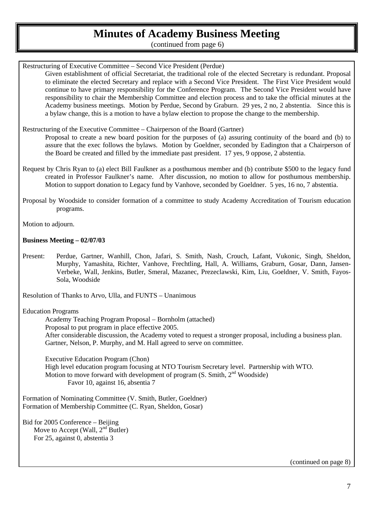(continued from page 6)

Restructuring of Executive Committee – Second Vice President (Perdue)

 Given establishment of official Secretariat, the traditional role of the elected Secretary is redundant. Proposal to eliminate the elected Secretary and replace with a Second Vice President. The First Vice President would continue to have primary responsibility for the Conference Program. The Second Vice President would have responsibility to chair the Membership Committee and election process and to take the official minutes at the Academy business meetings. Motion by Perdue, Second by Graburn. 29 yes, 2 no, 2 abstentia. Since this is a bylaw change, this is a motion to have a bylaw election to propose the change to the membership.

Restructuring of the Executive Committee – Chairperson of the Board (Gartner)

 Proposal to create a new board position for the purposes of (a) assuring continuity of the board and (b) to assure that the exec follows the bylaws. Motion by Goeldner, seconded by Eadington that a Chairperson of the Board be created and filled by the immediate past president. 17 yes, 9 oppose, 2 abstentia.

- Request by Chris Ryan to (a) elect Bill Faulkner as a posthumous member and (b) contribute \$500 to the legacy fund created in Professor Faulkner's name. After discussion, no motion to allow for posthumous membership. Motion to support donation to Legacy fund by Vanhove, seconded by Goeldner. 5 yes, 16 no, 7 abstentia.
- Proposal by Woodside to consider formation of a committee to study Academy Accreditation of Tourism education programs.

Motion to adjourn.

#### **Business Meeting – 02/07/03**

Present: Perdue, Gartner, Wanhill, Chon, Jafari, S. Smith, Nash, Crouch, Lafant, Vukonic, Singh, Sheldon, Murphy, Yamashita, Richter, Vanhove, Frechtling, Hall, A. Williams, Graburn, Gosar, Dann, Jansen-Verbeke, Wall, Jenkins, Butler, Smeral, Mazanec, Prezeclawski, Kim, Liu, Goeldner, V. Smith, Fayos-Sola, Woodside

Resolution of Thanks to Arvo, Ulla, and FUNTS – Unanimous

Education Programs

Academy Teaching Program Proposal – Bornholm (attached) Proposal to put program in place effective 2005. After considerable discussion, the Academy voted to request a stronger proposal, including a business plan. Gartner, Nelson, P. Murphy, and M. Hall agreed to serve on committee.

Executive Education Program (Chon) High level education program focusing at NTO Tourism Secretary level. Partnership with WTO. Motion to move forward with development of program  $(S. S\text{mith}, 2<sup>nd</sup> Woodside)$ Favor 10, against 16, absentia 7

Formation of Nominating Committee (V. Smith, Butler, Goeldner) Formation of Membership Committee (C. Ryan, Sheldon, Gosar)

Bid for 2005 Conference – Beijing Move to Accept (Wall,  $2<sup>nd</sup>$  Butler) For 25, against 0, abstentia 3

(continued on page 8)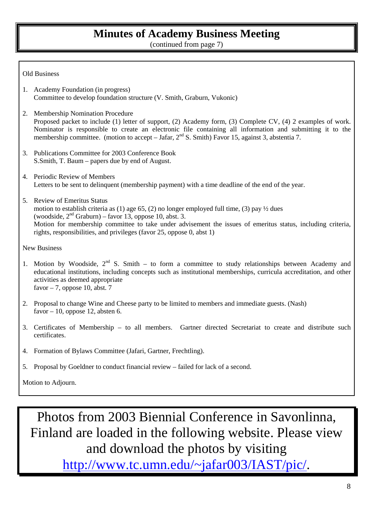(continued from page 7)

#### Old Business

- 1. Academy Foundation (in progress) Committee to develop foundation structure (V. Smith, Graburn, Vukonic)
- 2. Membership Nomination Procedure Proposed packet to include (1) letter of support, (2) Academy form, (3) Complete CV, (4) 2 examples of work. Nominator is responsible to create an electronic file containing all information and submitting it to the membership committee. (motion to accept – Jafar,  $2<sup>nd</sup>$  S. Smith) Favor 15, against 3, abstentia 7.
- 3. Publications Committee for 2003 Conference Book S.Smith, T. Baum – papers due by end of August.
- 4. Periodic Review of Members Letters to be sent to delinquent (membership payment) with a time deadline of the end of the year.
- 5. Review of Emeritus Status motion to establish criteria as (1) age 65, (2) no longer employed full time, (3) pay  $\frac{1}{2}$  dues (woodside,  $2<sup>nd</sup>$  Graburn) – favor 13, oppose 10, abst. 3. Motion for membership committee to take under advisement the issues of emeritus status, including criteria, rights, responsibilities, and privileges (favor 25, oppose 0, abst 1)

New Business

- 1. Motion by Woodside,  $2<sup>nd</sup>$  S. Smith to form a committee to study relationships between Academy and educational institutions, including concepts such as institutional memberships, curricula accreditation, and other activities as deemed appropriate favor  $-7$ , oppose 10, abst. 7
- 2. Proposal to change Wine and Cheese party to be limited to members and immediate guests. (Nash) favor  $-10$ , oppose 12, absten 6.
- 3. Certificates of Membership to all members. Gartner directed Secretariat to create and distribute such certificates.
- 4. Formation of Bylaws Committee (Jafari, Gartner, Frechtling).
- 5. Proposal by Goeldner to conduct financial review failed for lack of a second.

Motion to Adjourn.

Photos from 2003 Biennial Conference in Savonlinna, Finland are loaded in the following website. Please view and download the photos by visiting http://www.tc.umn.edu/~jafar003/IAST/pic/.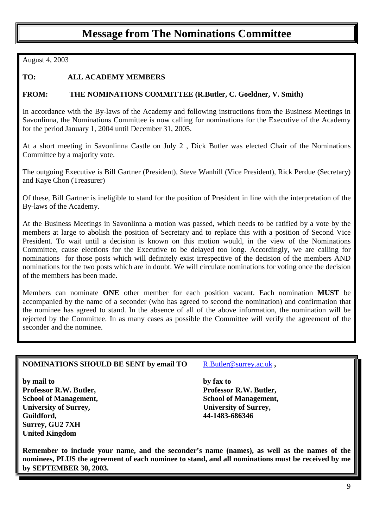## **Message from The Nominations Committee**

August 4, 2003

#### **TO: ALL ACADEMY MEMBERS**

#### **FROM: THE NOMINATIONS COMMITTEE (R.Butler, C. Goeldner, V. Smith)**

In accordance with the By-laws of the Academy and following instructions from the Business Meetings in Savonlinna, the Nominations Committee is now calling for nominations for the Executive of the Academy for the period January 1, 2004 until December 31, 2005.

At a short meeting in Savonlinna Castle on July 2 , Dick Butler was elected Chair of the Nominations Committee by a majority vote.

The outgoing Executive is Bill Gartner (President), Steve Wanhill (Vice President), Rick Perdue (Secretary) and Kaye Chon (Treasurer)

Of these, Bill Gartner is ineligible to stand for the position of President in line with the interpretation of the By-laws of the Academy.

At the Business Meetings in Savonlinna a motion was passed, which needs to be ratified by a vote by the members at large to abolish the position of Secretary and to replace this with a position of Second Vice President. To wait until a decision is known on this motion would, in the view of the Nominations Committee, cause elections for the Executive to be delayed too long. Accordingly, we are calling for nominations for those posts which will definitely exist irrespective of the decision of the members AND nominations for the two posts which are in doubt. We will circulate nominations for voting once the decision of the members has been made.

Members can nominate **ONE** other member for each position vacant. Each nomination **MUST** be accompanied by the name of a seconder (who has agreed to second the nomination) and confirmation that the nominee has agreed to stand. In the absence of all of the above information, the nomination will be rejected by the Committee. In as many cases as possible the Committee will verify the agreement of the seconder and the nominee.

#### NOMINATIONS SHOULD BE SENT by email TO R.Butler@surrey.ac.uk,

**by mail to by fax to Professor R.W. Butler, Professor R.W. Butler, School of Management, School of Management, School of Management, University of Surrey, University of Surrey, Guildford, 44-1483-686346 Surrey, GU2 7XH United Kingdom** 

**Remember to include your name, and the seconder's name (names), as well as the names of the nominees, PLUS the agreement of each nominee to stand, and all nominations must be received by me by SEPTEMBER 30, 2003.**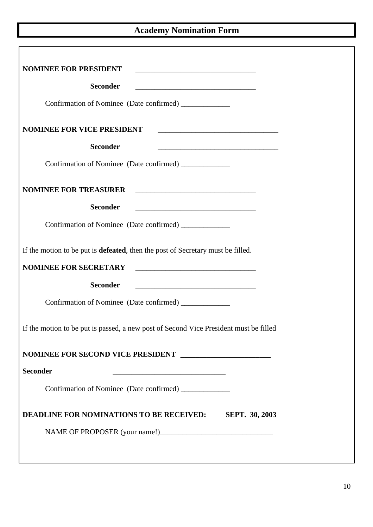#### **Academy Nomination Form**

| <b>NOMINEE FOR PRESIDENT</b>                                                                                                                          |
|-------------------------------------------------------------------------------------------------------------------------------------------------------|
| <b>Seconder</b>                                                                                                                                       |
| Confirmation of Nominee (Date confirmed) ____________                                                                                                 |
| <b>NOMINEE FOR VICE PRESIDENT</b>                                                                                                                     |
| <b>Seconder</b>                                                                                                                                       |
| Confirmation of Nominee (Date confirmed) ____________                                                                                                 |
| NOMINEE FOR TREASURER                                                                                                                                 |
| <b>Seconder</b>                                                                                                                                       |
| Confirmation of Nominee (Date confirmed) ____________                                                                                                 |
| If the motion to be put is <b>defeated</b> , then the post of Secretary must be filled.                                                               |
| <b>NOMINEE FOR SECRETARY</b><br><u> 1980 - Johann Barn, mars and de Branch Barn, mars and de Branch Barn, mars and de Branch Barn, mars and de Br</u> |
| <b>Seconder</b><br><u> 2000 - Andrea Andrews, amerikansk politik (d. 1878)</u>                                                                        |
| Confirmation of Nominee (Date confirmed) _____________                                                                                                |
| If the motion to be put is passed, a new post of Second Vice President must be filled                                                                 |
|                                                                                                                                                       |
| <b>Seconder</b><br><u> 1989 - Johann John Stein, markin fan it fjort fan it fjort fan it fjort fan it fjort fan it fjort fan it fjor</u>              |
| Confirmation of Nominee (Date confirmed) ____________                                                                                                 |
| <b>DEADLINE FOR NOMINATIONS TO BE RECEIVED:</b><br><b>SEPT. 30, 2003</b>                                                                              |
|                                                                                                                                                       |
|                                                                                                                                                       |